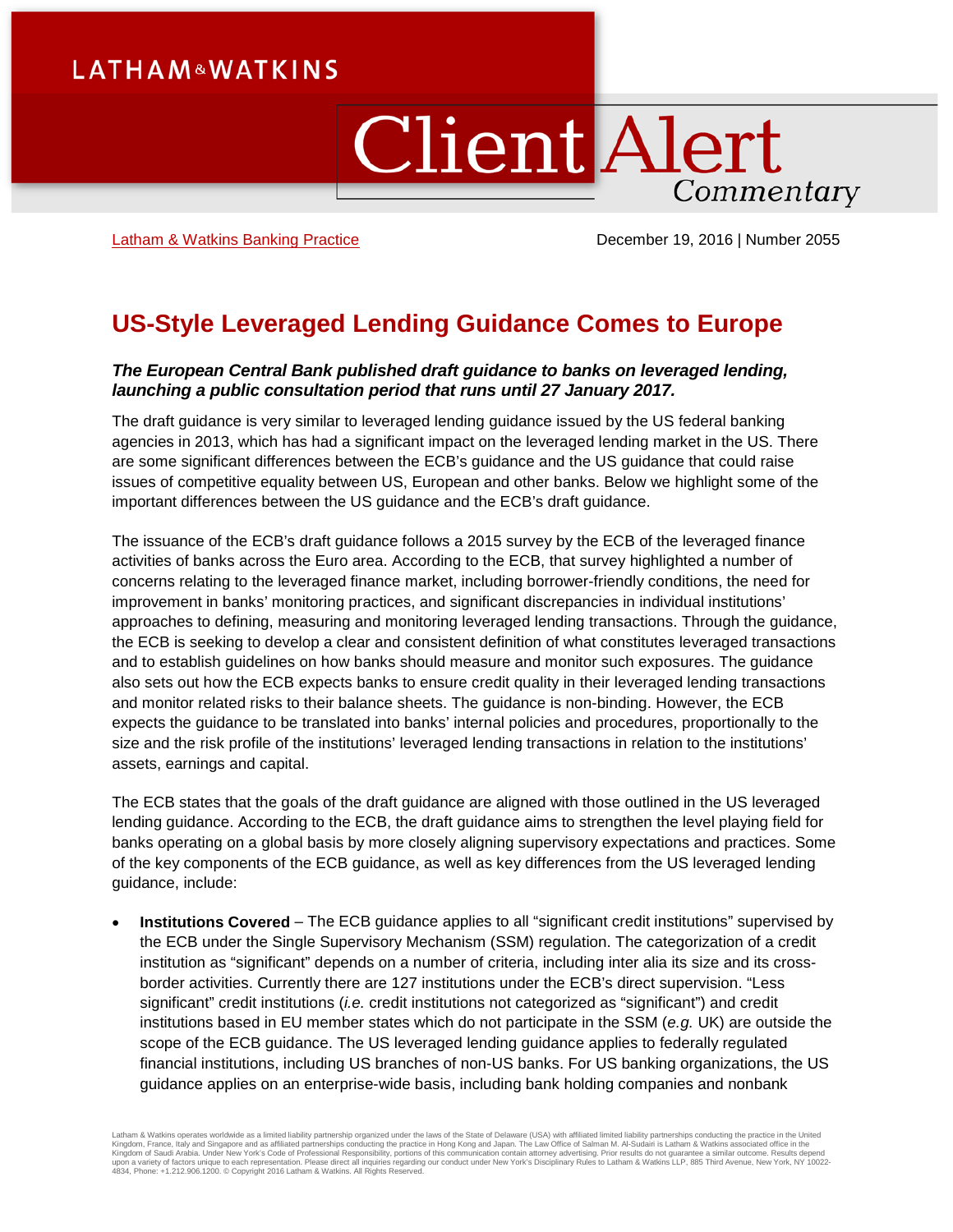## **LATHAM&WATKINS**

# **Client Alert** Commentary

[Latham & Watkins Banking Practice](https://www.lw.com/practices/Banking) December 19, 2016 | Number 2055

## **US-Style Leveraged Lending Guidance Comes to Europe**

### *The European Central Bank published draft guidance to banks on leveraged lending, launching a public consultation period that runs until 27 January 2017.*

The draft guidance is very similar to leveraged lending guidance issued by the US federal banking agencies in 2013, which has had a significant impact on the leveraged lending market in the US. There are some significant differences between the ECB's guidance and the US guidance that could raise issues of competitive equality between US, European and other banks. Below we highlight some of the important differences between the US guidance and the ECB's draft guidance.

The issuance of the ECB's draft guidance follows a 2015 survey by the ECB of the leveraged finance activities of banks across the Euro area. According to the ECB, that survey highlighted a number of concerns relating to the leveraged finance market, including borrower-friendly conditions, the need for improvement in banks' monitoring practices, and significant discrepancies in individual institutions' approaches to defining, measuring and monitoring leveraged lending transactions. Through the guidance, the ECB is seeking to develop a clear and consistent definition of what constitutes leveraged transactions and to establish guidelines on how banks should measure and monitor such exposures. The guidance also sets out how the ECB expects banks to ensure credit quality in their leveraged lending transactions and monitor related risks to their balance sheets. The guidance is non-binding. However, the ECB expects the guidance to be translated into banks' internal policies and procedures, proportionally to the size and the risk profile of the institutions' leveraged lending transactions in relation to the institutions' assets, earnings and capital.

The ECB states that the goals of the draft guidance are aligned with those outlined in the US leveraged lending guidance. According to the ECB, the draft guidance aims to strengthen the level playing field for banks operating on a global basis by more closely aligning supervisory expectations and practices. Some of the key components of the ECB guidance, as well as key differences from the US leveraged lending guidance, include:

• **Institutions Covered** – The ECB guidance applies to all "significant credit institutions" supervised by the ECB under the Single Supervisory Mechanism (SSM) regulation. The categorization of a credit institution as "significant" depends on a number of criteria, including inter alia its size and its crossborder activities. Currently there are 127 institutions under the ECB's direct supervision. "Less significant" credit institutions (*i.e.* credit institutions not categorized as "significant") and credit institutions based in EU member states which do not participate in the SSM (*e.g.* UK) are outside the scope of the ECB guidance. The US leveraged lending guidance applies to federally regulated financial institutions, including US branches of non-US banks. For US banking organizations, the US guidance applies on an enterprise-wide basis, including bank holding companies and nonbank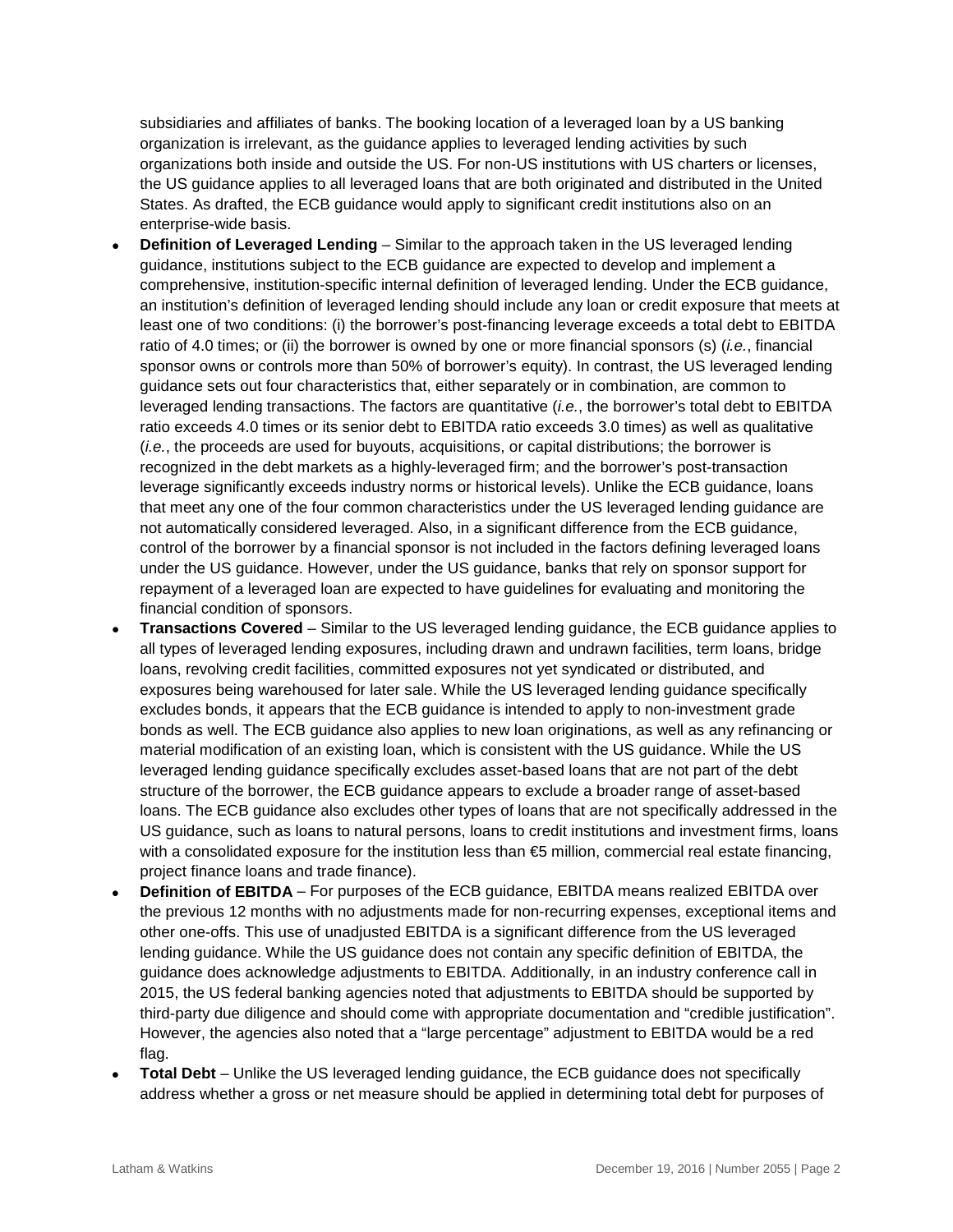subsidiaries and affiliates of banks. The booking location of a leveraged loan by a US banking organization is irrelevant, as the guidance applies to leveraged lending activities by such organizations both inside and outside the US. For non-US institutions with US charters or licenses, the US guidance applies to all leveraged loans that are both originated and distributed in the United States. As drafted, the ECB guidance would apply to significant credit institutions also on an enterprise-wide basis.

- **Definition of Leveraged Lending** Similar to the approach taken in the US leveraged lending guidance, institutions subject to the ECB guidance are expected to develop and implement a comprehensive, institution-specific internal definition of leveraged lending. Under the ECB guidance, an institution's definition of leveraged lending should include any loan or credit exposure that meets at least one of two conditions: (i) the borrower's post-financing leverage exceeds a total debt to EBITDA ratio of 4.0 times; or (ii) the borrower is owned by one or more financial sponsors (s) (*i.e.*, financial sponsor owns or controls more than 50% of borrower's equity). In contrast, the US leveraged lending guidance sets out four characteristics that, either separately or in combination, are common to leveraged lending transactions. The factors are quantitative (*i.e.*, the borrower's total debt to EBITDA ratio exceeds 4.0 times or its senior debt to EBITDA ratio exceeds 3.0 times) as well as qualitative (*i.e.*, the proceeds are used for buyouts, acquisitions, or capital distributions; the borrower is recognized in the debt markets as a highly-leveraged firm; and the borrower's post-transaction leverage significantly exceeds industry norms or historical levels). Unlike the ECB guidance, loans that meet any one of the four common characteristics under the US leveraged lending guidance are not automatically considered leveraged. Also, in a significant difference from the ECB guidance, control of the borrower by a financial sponsor is not included in the factors defining leveraged loans under the US guidance. However, under the US guidance, banks that rely on sponsor support for repayment of a leveraged loan are expected to have guidelines for evaluating and monitoring the financial condition of sponsors.
- **Transactions Covered**  Similar to the US leveraged lending guidance, the ECB guidance applies to all types of leveraged lending exposures, including drawn and undrawn facilities, term loans, bridge loans, revolving credit facilities, committed exposures not yet syndicated or distributed, and exposures being warehoused for later sale. While the US leveraged lending guidance specifically excludes bonds, it appears that the ECB guidance is intended to apply to non-investment grade bonds as well. The ECB guidance also applies to new loan originations, as well as any refinancing or material modification of an existing loan, which is consistent with the US guidance. While the US leveraged lending guidance specifically excludes asset-based loans that are not part of the debt structure of the borrower, the ECB guidance appears to exclude a broader range of asset-based loans. The ECB guidance also excludes other types of loans that are not specifically addressed in the US guidance, such as loans to natural persons, loans to credit institutions and investment firms, loans with a consolidated exposure for the institution less than €5 million, commercial real estate financing, project finance loans and trade finance).
- **Definition of EBITDA** For purposes of the ECB guidance, EBITDA means realized EBITDA over the previous 12 months with no adjustments made for non-recurring expenses, exceptional items and other one-offs. This use of unadjusted EBITDA is a significant difference from the US leveraged lending guidance. While the US guidance does not contain any specific definition of EBITDA, the guidance does acknowledge adjustments to EBITDA. Additionally, in an industry conference call in 2015, the US federal banking agencies noted that adjustments to EBITDA should be supported by third-party due diligence and should come with appropriate documentation and "credible justification". However, the agencies also noted that a "large percentage" adjustment to EBITDA would be a red flag.
- **Total Debt**  Unlike the US leveraged lending guidance, the ECB guidance does not specifically address whether a gross or net measure should be applied in determining total debt for purposes of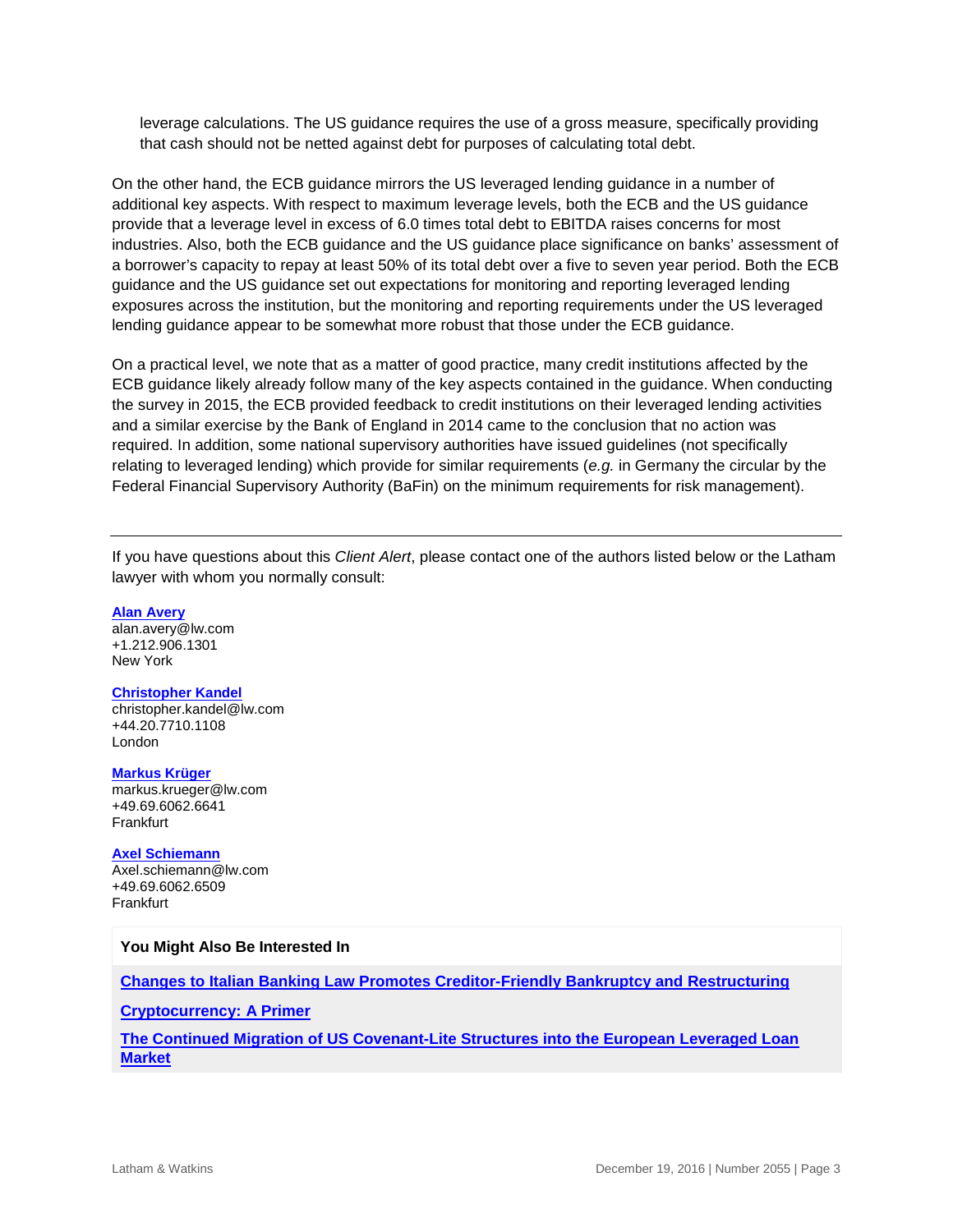leverage calculations. The US guidance requires the use of a gross measure, specifically providing that cash should not be netted against debt for purposes of calculating total debt.

On the other hand, the ECB guidance mirrors the US leveraged lending guidance in a number of additional key aspects. With respect to maximum leverage levels, both the ECB and the US guidance provide that a leverage level in excess of 6.0 times total debt to EBITDA raises concerns for most industries. Also, both the ECB guidance and the US guidance place significance on banks' assessment of a borrower's capacity to repay at least 50% of its total debt over a five to seven year period. Both the ECB guidance and the US guidance set out expectations for monitoring and reporting leveraged lending exposures across the institution, but the monitoring and reporting requirements under the US leveraged lending guidance appear to be somewhat more robust that those under the ECB guidance.

On a practical level, we note that as a matter of good practice, many credit institutions affected by the ECB guidance likely already follow many of the key aspects contained in the guidance. When conducting the survey in 2015, the ECB provided feedback to credit institutions on their leveraged lending activities and a similar exercise by the Bank of England in 2014 came to the conclusion that no action was required. In addition, some national supervisory authorities have issued guidelines (not specifically relating to leveraged lending) which provide for similar requirements (*e.g.* in Germany the circular by the Federal Financial Supervisory Authority (BaFin) on the minimum requirements for risk management).

If you have questions about this *Client Alert*, please contact one of the authors listed below or the Latham lawyer with whom you normally consult:

#### **[Alan Avery](https://www.lw.com/people/alan-avery)**

[alan.avery@lw.com](mailto:alan.avery@lw.com) +1.212.906.1301 New York

#### **[Christopher Kandel](https://www.lw.com/people/christopher-kandel)**

[christopher.kandel@lw.com](mailto:alan.avery@lw.com) +44.20.7710.1108 London

**[Markus Krüger](https://www.lw.com/people/markus-krueger)** [markus.krueger@lw.com](mailto:markus.krueger@lw.com) +49.69.6062.6641 **Frankfurt** 

#### **[Axel Schiemann](https://www.lw.com/people/axel-schiemann)**

[Axel.schiemann@lw.com](mailto:Axel.schiemann@lw.com) +49.69.6062.6509 Frankfurt

#### **You Might Also Be Interested In**

**[Changes to Italian Banking Law Promotes Creditor-Friendly Bankruptcy and Restructuring](http://www.latham.london/2016/11/changes-to-italian-banking-law-promotes-creditor-friendly-bankruptcy-and-restructuring/)**

**[Cryptocurrency: A Primer](https://www.lw.com/thoughtLeadership/cryptocurrency-a-primer)**

**[The Continued Migration of US Covenant-Lite Structures into the European Leveraged Loan](https://www.lw.com/thoughtLeadership/US-covenant-lite-european-leveraged-loan-market)  [Market](https://www.lw.com/thoughtLeadership/US-covenant-lite-european-leveraged-loan-market)**